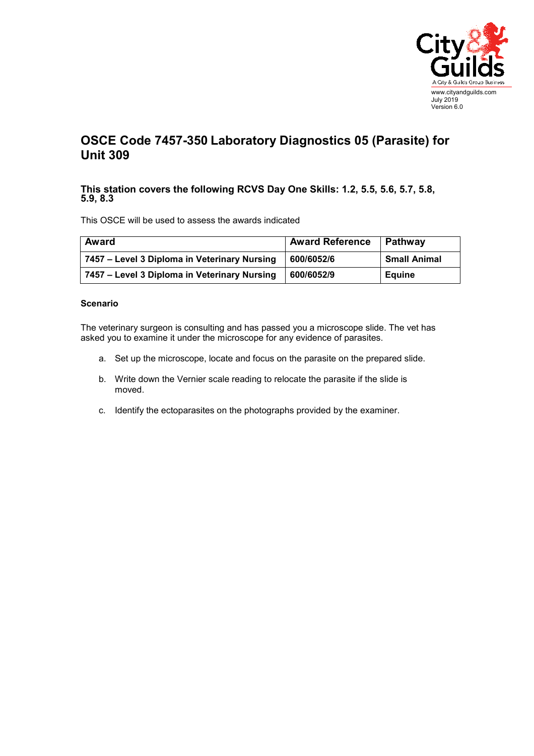

## **OSCE Code 7457-350 Laboratory Diagnostics 05 (Parasite) for Unit 309**

## **This station covers the following RCVS Day One Skills: 1.2, 5.5, 5.6, 5.7, 5.8, 5.9, 8.3**

This OSCE will be used to assess the awards indicated

| Award                                        | <b>Award Reference</b> | Pathway             |
|----------------------------------------------|------------------------|---------------------|
| 7457 - Level 3 Diploma in Veterinary Nursing | 600/6052/6             | <b>Small Animal</b> |
| 7457 – Level 3 Diploma in Veterinary Nursing | 600/6052/9             | <b>Equine</b>       |

## **Scenario**

The veterinary surgeon is consulting and has passed you a microscope slide. The vet has asked you to examine it under the microscope for any evidence of parasites.

- a. Set up the microscope, locate and focus on the parasite on the prepared slide.
- b. Write down the Vernier scale reading to relocate the parasite if the slide is moved.
- c. Identify the ectoparasites on the photographs provided by the examiner.